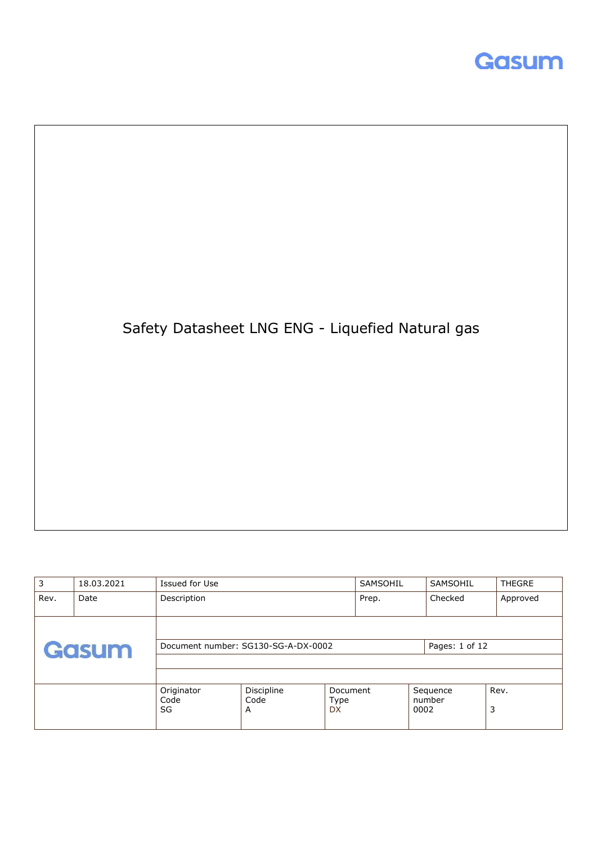



| 3    | 18.03.2021 | Issued for Use           |                                     |                                      | SAMSOHIL | SAMSOHIL           | <b>THEGRE</b> |
|------|------------|--------------------------|-------------------------------------|--------------------------------------|----------|--------------------|---------------|
| Rev. | Date       | Description              |                                     |                                      | Prep.    | Checked            | Approved      |
|      | Gasum      |                          | Document number: SG130-SG-A-DX-0002 |                                      |          | Pages: 1 of 12     |               |
|      |            | Originator<br>Code<br>SG | Discipline<br>Code<br>A             | Document<br><b>Type</b><br><b>DX</b> | 0002     | Sequence<br>number | Rev.<br>3     |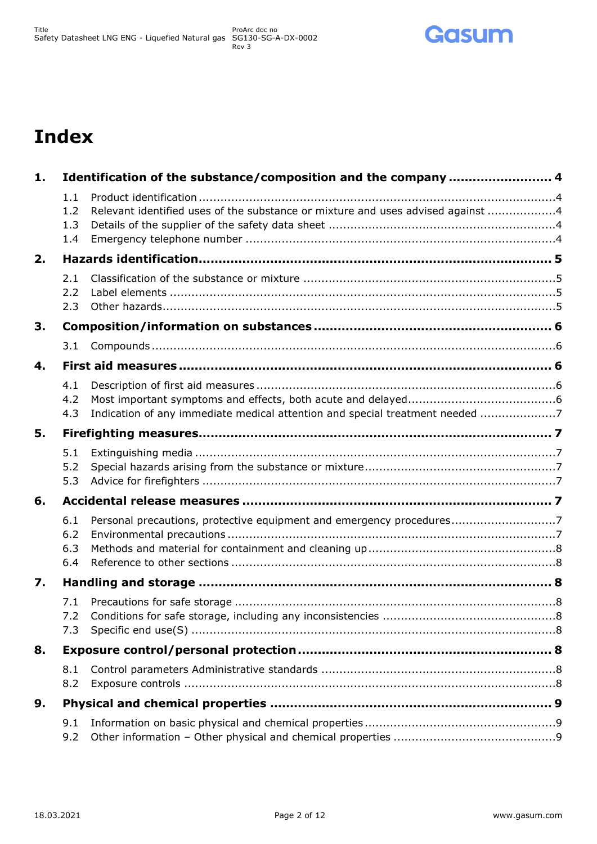

# **Index**

| 1. |                          | Identification of the substance/composition and the company  4                  |  |
|----|--------------------------|---------------------------------------------------------------------------------|--|
|    | 1.1<br>1.2<br>1.3<br>1.4 | Relevant identified uses of the substance or mixture and uses advised against 4 |  |
| 2. |                          |                                                                                 |  |
|    | 2.1<br>2.2<br>2.3        |                                                                                 |  |
| 3. |                          |                                                                                 |  |
|    | 3.1                      |                                                                                 |  |
| 4. |                          |                                                                                 |  |
|    | 4.1<br>4.2<br>4.3        | Indication of any immediate medical attention and special treatment needed 7    |  |
| 5. |                          |                                                                                 |  |
|    | 5.1<br>5.2<br>5.3        |                                                                                 |  |
| 6. |                          |                                                                                 |  |
|    | 6.1<br>6.2<br>6.3<br>6.4 | Personal precautions, protective equipment and emergency procedures7            |  |
| 7. |                          |                                                                                 |  |
|    | 7.1<br>7.2<br>7.3        |                                                                                 |  |
| 8. |                          |                                                                                 |  |
|    | 8.1<br>8.2               |                                                                                 |  |
| 9. |                          |                                                                                 |  |
|    | 9.1<br>9.2               |                                                                                 |  |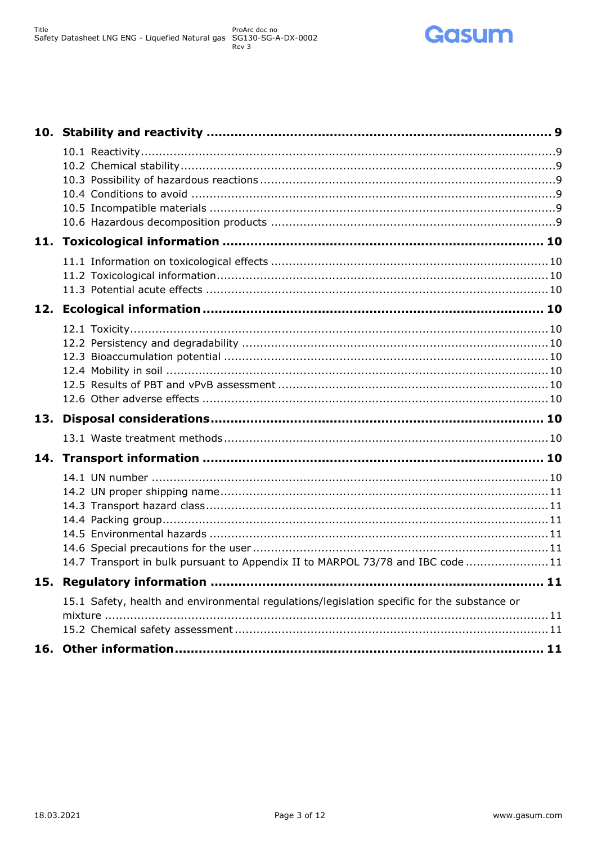

| 14.7 Transport in bulk pursuant to Appendix II to MARPOL 73/78 and IBC code 11              |  |
|---------------------------------------------------------------------------------------------|--|
|                                                                                             |  |
| 15.1 Safety, health and environmental regulations/legislation specific for the substance or |  |
|                                                                                             |  |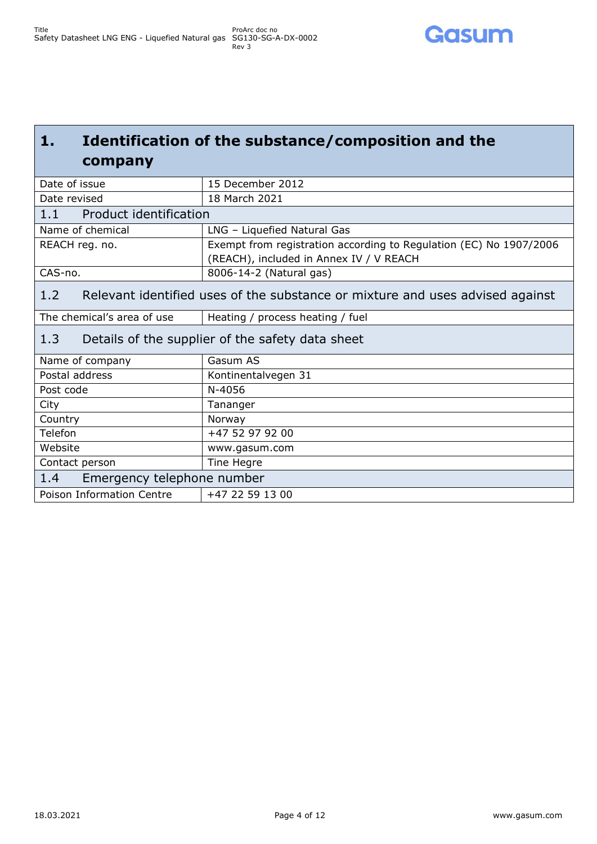### <span id="page-3-0"></span>**1. Identification of the substance/composition and the company**

<span id="page-3-4"></span><span id="page-3-3"></span><span id="page-3-2"></span><span id="page-3-1"></span>

| Date of issue                                                                        | 15 December 2012                                                   |  |
|--------------------------------------------------------------------------------------|--------------------------------------------------------------------|--|
| Date revised                                                                         | 18 March 2021                                                      |  |
| 1.1<br>Product identification                                                        |                                                                    |  |
| Name of chemical                                                                     | LNG - Liquefied Natural Gas                                        |  |
| REACH reg. no.                                                                       | Exempt from registration according to Regulation (EC) No 1907/2006 |  |
|                                                                                      | (REACH), included in Annex IV / V REACH                            |  |
| CAS-no.                                                                              | 8006-14-2 (Natural gas)                                            |  |
| Relevant identified uses of the substance or mixture and uses advised against<br>1.2 |                                                                    |  |
| The chemical's area of use                                                           | Heating / process heating / fuel                                   |  |
| 1.3<br>Details of the supplier of the safety data sheet                              |                                                                    |  |
| Name of company                                                                      | Gasum AS                                                           |  |
| Postal address                                                                       | Kontinentalvegen 31                                                |  |
| Post code                                                                            | N-4056                                                             |  |
| City                                                                                 | Tananger                                                           |  |
| Country                                                                              | Norway                                                             |  |
| Telefon                                                                              | +47 52 97 92 00                                                    |  |
| Website                                                                              | www.gasum.com                                                      |  |
| Contact person                                                                       | Tine Hegre                                                         |  |
| Emergency telephone number<br>1.4                                                    |                                                                    |  |
| Poison Information Centre                                                            | +47 22 59 13 00                                                    |  |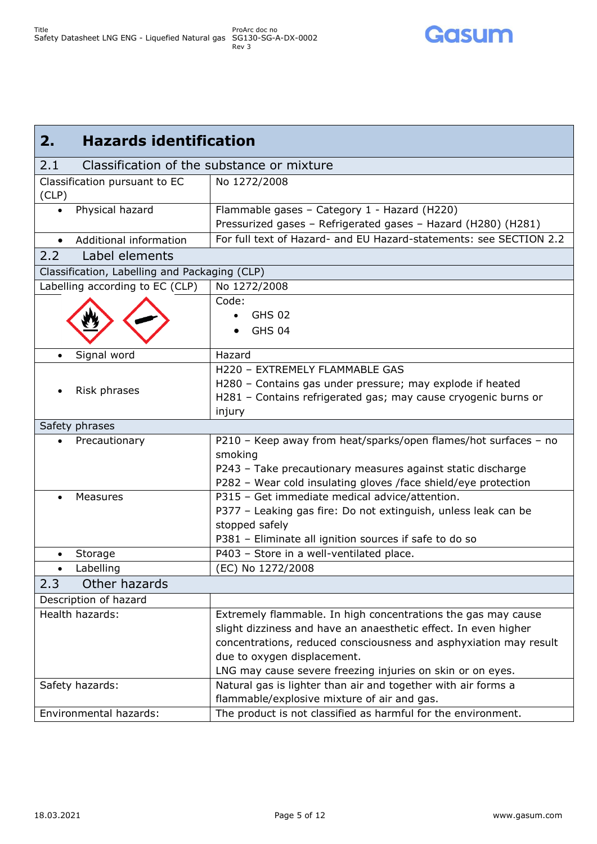

<span id="page-4-3"></span><span id="page-4-2"></span><span id="page-4-1"></span><span id="page-4-0"></span>

| <b>Hazards identification</b><br>2.               |                                                                                                                                                                                                                                                                                                    |  |
|---------------------------------------------------|----------------------------------------------------------------------------------------------------------------------------------------------------------------------------------------------------------------------------------------------------------------------------------------------------|--|
| 2.1<br>Classification of the substance or mixture |                                                                                                                                                                                                                                                                                                    |  |
| Classification pursuant to EC<br>(CLP)            | No 1272/2008                                                                                                                                                                                                                                                                                       |  |
| Physical hazard<br>$\bullet$                      | Flammable gases - Category 1 - Hazard (H220)<br>Pressurized gases - Refrigerated gases - Hazard (H280) (H281)                                                                                                                                                                                      |  |
| Additional information<br>$\bullet$               | For full text of Hazard- and EU Hazard-statements: see SECTION 2.2                                                                                                                                                                                                                                 |  |
| Label elements<br>2.2                             |                                                                                                                                                                                                                                                                                                    |  |
| Classification, Labelling and Packaging (CLP)     |                                                                                                                                                                                                                                                                                                    |  |
| Labelling according to EC (CLP)                   | No 1272/2008                                                                                                                                                                                                                                                                                       |  |
|                                                   | Code:<br><b>GHS 02</b><br><b>GHS 04</b>                                                                                                                                                                                                                                                            |  |
| Signal word                                       | Hazard                                                                                                                                                                                                                                                                                             |  |
| Risk phrases                                      | H220 - EXTREMELY FLAMMABLE GAS<br>H280 - Contains gas under pressure; may explode if heated<br>H281 - Contains refrigerated gas; may cause cryogenic burns or<br>injury                                                                                                                            |  |
| Safety phrases                                    |                                                                                                                                                                                                                                                                                                    |  |
| Precautionary                                     | P210 - Keep away from heat/sparks/open flames/hot surfaces - no<br>smoking<br>P243 - Take precautionary measures against static discharge<br>P282 - Wear cold insulating gloves /face shield/eye protection                                                                                        |  |
| <b>Measures</b>                                   | P315 - Get immediate medical advice/attention.<br>P377 - Leaking gas fire: Do not extinguish, unless leak can be<br>stopped safely<br>P381 - Eliminate all ignition sources if safe to do so                                                                                                       |  |
| Storage                                           | P403 - Store in a well-ventilated place.                                                                                                                                                                                                                                                           |  |
| Labelling<br>$\bullet$                            | (EC) No 1272/2008                                                                                                                                                                                                                                                                                  |  |
| Other hazards<br>2.3                              |                                                                                                                                                                                                                                                                                                    |  |
| Description of hazard                             |                                                                                                                                                                                                                                                                                                    |  |
| Health hazards:                                   | Extremely flammable. In high concentrations the gas may cause<br>slight dizziness and have an anaesthetic effect. In even higher<br>concentrations, reduced consciousness and asphyxiation may result<br>due to oxygen displacement.<br>LNG may cause severe freezing injuries on skin or on eyes. |  |
| Safety hazards:<br>Environmental hazards:         | Natural gas is lighter than air and together with air forms a<br>flammable/explosive mixture of air and gas.<br>The product is not classified as harmful for the environment.                                                                                                                      |  |
|                                                   |                                                                                                                                                                                                                                                                                                    |  |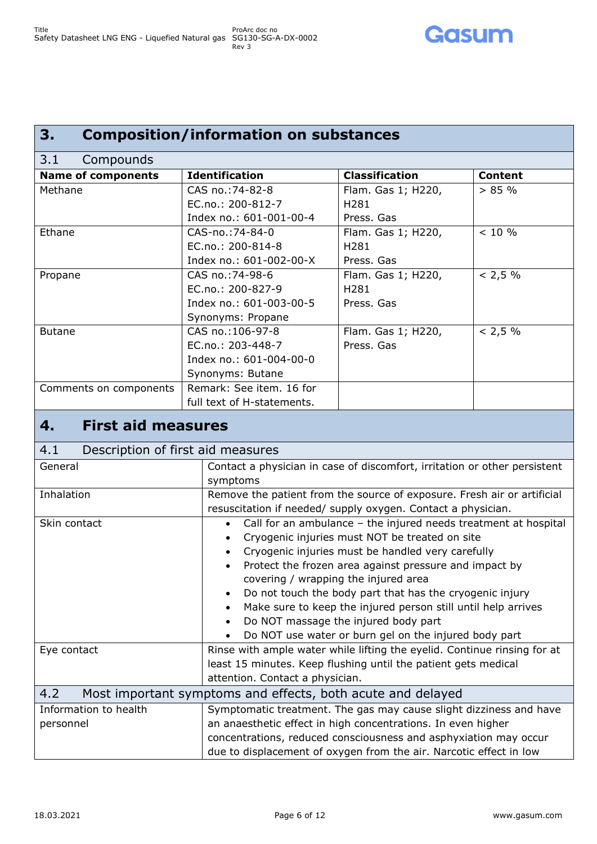## <span id="page-5-0"></span>**3. Composition/information on substances**

<span id="page-5-1"></span>

| Compounds<br>3.1          |                            |                       |                |
|---------------------------|----------------------------|-----------------------|----------------|
| <b>Name of components</b> | <b>Identification</b>      | <b>Classification</b> | <b>Content</b> |
| Methane                   | CAS no.: 74-82-8           | Flam. Gas 1; H220,    | $> 85 \%$      |
|                           | EC.no.: 200-812-7          | H <sub>2</sub> 81     |                |
|                           | Index no.: 601-001-00-4    | Press, Gas            |                |
| Ethane                    | CAS-no.: 74-84-0           | Flam. Gas 1; H220,    | $< 10 \%$      |
|                           | EC.no.: 200-814-8          | H <sub>2</sub> 81     |                |
|                           | Index no.: 601-002-00-X    | Press. Gas            |                |
| Propane                   | CAS no.: 74-98-6           | Flam. Gas 1; H220,    | < 2.5 %        |
|                           | EC.no.: 200-827-9          | H <sub>2</sub> 81     |                |
|                           | Index no.: 601-003-00-5    | Press, Gas            |                |
|                           | Synonyms: Propane          |                       |                |
| <b>Butane</b>             | CAS no.:106-97-8           | Flam. Gas 1; H220,    | < 2.5 %        |
|                           | EC.no.: 203-448-7          | Press, Gas            |                |
|                           | Index no.: 601-004-00-0    |                       |                |
|                           | Synonyms: Butane           |                       |                |
| Comments on components    | Remark: See item. 16 for   |                       |                |
|                           | full text of H-statements. |                       |                |

### <span id="page-5-2"></span>**4. First aid measures**

<span id="page-5-4"></span><span id="page-5-3"></span>

| 4.1<br>Description of first aid measures |                                                                           |  |
|------------------------------------------|---------------------------------------------------------------------------|--|
| General                                  | Contact a physician in case of discomfort, irritation or other persistent |  |
|                                          | symptoms                                                                  |  |
| Inhalation                               | Remove the patient from the source of exposure. Fresh air or artificial   |  |
|                                          | resuscitation if needed/ supply oxygen. Contact a physician.              |  |
| Skin contact                             | Call for an ambulance - the injured needs treatment at hospital           |  |
|                                          | Cryogenic injuries must NOT be treated on site<br>$\bullet$               |  |
|                                          | Cryogenic injuries must be handled very carefully                         |  |
|                                          | Protect the frozen area against pressure and impact by                    |  |
|                                          | covering / wrapping the injured area                                      |  |
|                                          | Do not touch the body part that has the cryogenic injury                  |  |
|                                          | Make sure to keep the injured person still until help arrives             |  |
|                                          | Do NOT massage the injured body part<br>$\bullet$                         |  |
|                                          | Do NOT use water or burn gel on the injured body part                     |  |
| Eye contact                              | Rinse with ample water while lifting the eyelid. Continue rinsing for at  |  |
|                                          | least 15 minutes. Keep flushing until the patient gets medical            |  |
|                                          | attention. Contact a physician.                                           |  |
| 4.2                                      | Most important symptoms and effects, both acute and delayed               |  |
| Information to health                    | Symptomatic treatment. The gas may cause slight dizziness and have        |  |
| personnel                                | an anaesthetic effect in high concentrations. In even higher              |  |
|                                          | concentrations, reduced consciousness and asphyxiation may occur          |  |
|                                          | due to displacement of oxygen from the air. Narcotic effect in low        |  |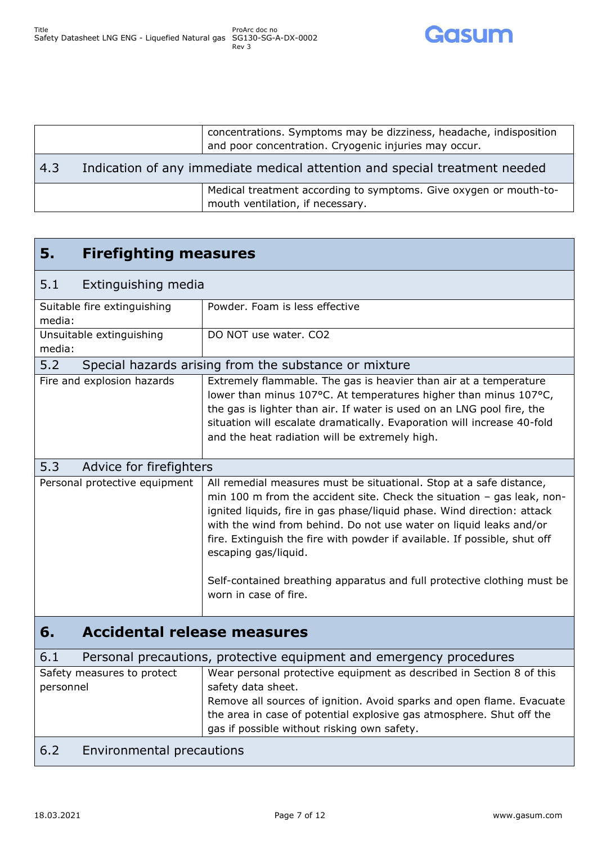

<span id="page-6-0"></span>

|     |                                                                            | concentrations. Symptoms may be dizziness, headache, indisposition<br>and poor concentration. Cryogenic injuries may occur. |
|-----|----------------------------------------------------------------------------|-----------------------------------------------------------------------------------------------------------------------------|
| 4.3 | Indication of any immediate medical attention and special treatment needed |                                                                                                                             |
|     |                                                                            | Medical treatment according to symptoms. Give oxygen or mouth-to-<br>mouth ventilation, if necessary.                       |

<span id="page-6-7"></span><span id="page-6-6"></span><span id="page-6-5"></span><span id="page-6-4"></span><span id="page-6-3"></span><span id="page-6-2"></span><span id="page-6-1"></span>

| 5.<br><b>Firefighting measures</b>       |                                                                                                                                                                                                                                                                                                                                                                                                                                                                                  |  |
|------------------------------------------|----------------------------------------------------------------------------------------------------------------------------------------------------------------------------------------------------------------------------------------------------------------------------------------------------------------------------------------------------------------------------------------------------------------------------------------------------------------------------------|--|
| 5.1<br>Extinguishing media               |                                                                                                                                                                                                                                                                                                                                                                                                                                                                                  |  |
| Suitable fire extinguishing<br>media:    | Powder. Foam is less effective                                                                                                                                                                                                                                                                                                                                                                                                                                                   |  |
| Unsuitable extinguishing<br>media:       | DO NOT use water. CO2                                                                                                                                                                                                                                                                                                                                                                                                                                                            |  |
| 5.2                                      | Special hazards arising from the substance or mixture                                                                                                                                                                                                                                                                                                                                                                                                                            |  |
| Fire and explosion hazards               | Extremely flammable. The gas is heavier than air at a temperature<br>lower than minus 107°C. At temperatures higher than minus 107°C,<br>the gas is lighter than air. If water is used on an LNG pool fire, the<br>situation will escalate dramatically. Evaporation will increase 40-fold<br>and the heat radiation will be extremely high.                                                                                                                                     |  |
| 5.3<br>Advice for firefighters           |                                                                                                                                                                                                                                                                                                                                                                                                                                                                                  |  |
| Personal protective equipment            | All remedial measures must be situational. Stop at a safe distance,<br>min 100 m from the accident site. Check the situation $-$ gas leak, non-<br>ignited liquids, fire in gas phase/liquid phase. Wind direction: attack<br>with the wind from behind. Do not use water on liquid leaks and/or<br>fire. Extinguish the fire with powder if available. If possible, shut off<br>escaping gas/liquid.<br>Self-contained breathing apparatus and full protective clothing must be |  |
|                                          | worn in case of fire.                                                                                                                                                                                                                                                                                                                                                                                                                                                            |  |
| <b>Accidental release measures</b><br>6. |                                                                                                                                                                                                                                                                                                                                                                                                                                                                                  |  |
| 6.1                                      | Personal precautions, protective equipment and emergency procedures                                                                                                                                                                                                                                                                                                                                                                                                              |  |
| Safety measures to protect<br>personnel  | Wear personal protective equipment as described in Section 8 of this<br>safety data sheet.<br>Remove all sources of ignition. Avoid sparks and open flame. Evacuate<br>the area in case of potential explosive gas atmosphere. Shut off the<br>gas if possible without risking own safety.                                                                                                                                                                                       |  |
| 6.2<br>Environmental precautions         |                                                                                                                                                                                                                                                                                                                                                                                                                                                                                  |  |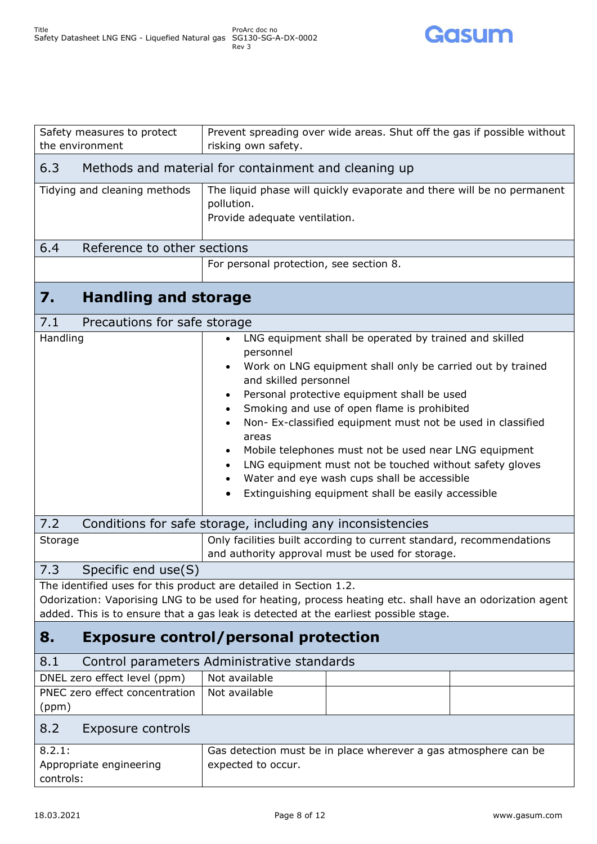

<span id="page-7-8"></span><span id="page-7-7"></span><span id="page-7-6"></span><span id="page-7-5"></span><span id="page-7-4"></span><span id="page-7-3"></span><span id="page-7-2"></span><span id="page-7-1"></span><span id="page-7-0"></span>

| Safety measures to protect<br>the environment                     | Prevent spreading over wide areas. Shut off the gas if possible without<br>risking own safety.                           |  |  |
|-------------------------------------------------------------------|--------------------------------------------------------------------------------------------------------------------------|--|--|
|                                                                   |                                                                                                                          |  |  |
| 6.3                                                               | Methods and material for containment and cleaning up                                                                     |  |  |
| Tidying and cleaning methods                                      | The liquid phase will quickly evaporate and there will be no permanent<br>pollution.                                     |  |  |
|                                                                   | Provide adequate ventilation.                                                                                            |  |  |
|                                                                   |                                                                                                                          |  |  |
| 6.4<br>Reference to other sections                                |                                                                                                                          |  |  |
|                                                                   | For personal protection, see section 8.                                                                                  |  |  |
| <b>Handling and storage</b><br>7.                                 |                                                                                                                          |  |  |
| 7.1<br>Precautions for safe storage                               |                                                                                                                          |  |  |
| Handling                                                          | LNG equipment shall be operated by trained and skilled                                                                   |  |  |
|                                                                   | personnel<br>Work on LNG equipment shall only be carried out by trained                                                  |  |  |
|                                                                   | and skilled personnel                                                                                                    |  |  |
|                                                                   | Personal protective equipment shall be used                                                                              |  |  |
|                                                                   | Smoking and use of open flame is prohibited<br>Non- Ex-classified equipment must not be used in classified               |  |  |
|                                                                   | areas                                                                                                                    |  |  |
|                                                                   | Mobile telephones must not be used near LNG equipment                                                                    |  |  |
|                                                                   | LNG equipment must not be touched without safety gloves<br>Water and eye wash cups shall be accessible                   |  |  |
|                                                                   | Extinguishing equipment shall be easily accessible                                                                       |  |  |
|                                                                   |                                                                                                                          |  |  |
| 7.2                                                               | Conditions for safe storage, including any inconsistencies                                                               |  |  |
| Storage                                                           | Only facilities built according to current standard, recommendations<br>and authority approval must be used for storage. |  |  |
| 7.3<br>Specific end use(S)                                        |                                                                                                                          |  |  |
| The identified uses for this product are detailed in Section 1.2. |                                                                                                                          |  |  |
|                                                                   | Odorization: Vaporising LNG to be used for heating, process heating etc. shall have an odorization agent                 |  |  |
|                                                                   | added. This is to ensure that a gas leak is detected at the earliest possible stage.                                     |  |  |
| 8.                                                                | <b>Exposure control/personal protection</b>                                                                              |  |  |
| 8.1                                                               | Control parameters Administrative standards                                                                              |  |  |
| DNEL zero effect level (ppm)                                      | Not available                                                                                                            |  |  |
| PNEC zero effect concentration<br>(ppm)                           | Not available                                                                                                            |  |  |
| 8.2<br>Exposure controls                                          |                                                                                                                          |  |  |
| 8.2.1:                                                            | Gas detection must be in place wherever a gas atmosphere can be                                                          |  |  |
| Appropriate engineering                                           | expected to occur.                                                                                                       |  |  |
| controls:                                                         |                                                                                                                          |  |  |
|                                                                   |                                                                                                                          |  |  |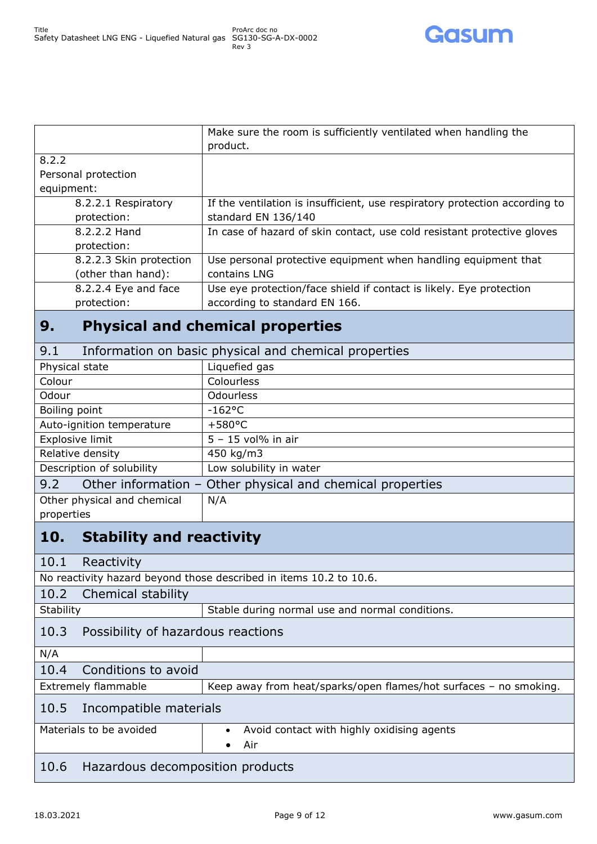

|                         | Make sure the room is sufficiently ventilated when handling the             |
|-------------------------|-----------------------------------------------------------------------------|
|                         | product.                                                                    |
| 8.2.2                   |                                                                             |
| Personal protection     |                                                                             |
| equipment:              |                                                                             |
| 8.2.2.1 Respiratory     | If the ventilation is insufficient, use respiratory protection according to |
| protection:             | standard EN 136/140                                                         |
| 8.2.2.2 Hand            | In case of hazard of skin contact, use cold resistant protective gloves     |
| protection:             |                                                                             |
| 8.2.2.3 Skin protection | Use personal protective equipment when handling equipment that              |
| (other than hand):      | contains LNG                                                                |
| 8.2.2.4 Eye and face    | Use eye protection/face shield if contact is likely. Eye protection         |
| protection:             | according to standard EN 166.                                               |
|                         |                                                                             |

# <span id="page-8-0"></span>**9. Physical and chemical properties**

<span id="page-8-1"></span>

| 9.1                                                               | Information on basic physical and chemical properties |  |
|-------------------------------------------------------------------|-------------------------------------------------------|--|
| Physical state                                                    | Liquefied gas                                         |  |
| Colour                                                            | <b>Colourless</b>                                     |  |
| Odour                                                             | <b>Odourless</b>                                      |  |
| Boiling point                                                     | $-162$ °C                                             |  |
| Auto-ignition temperature                                         | $+580^{\circ}$ C                                      |  |
| Explosive limit                                                   | $5 - 15$ vol% in air                                  |  |
| Relative density                                                  | 450 kg/m3                                             |  |
| Description of solubility                                         | Low solubility in water                               |  |
| Other information - Other physical and chemical properties<br>9.2 |                                                       |  |
| Other physical and chemical                                       | N/A                                                   |  |
|                                                                   |                                                       |  |

#### <span id="page-8-2"></span>properties

### <span id="page-8-3"></span>**10. Stability and reactivity**

<span id="page-8-9"></span><span id="page-8-8"></span><span id="page-8-7"></span><span id="page-8-6"></span><span id="page-8-5"></span><span id="page-8-4"></span>

| 10. L                                                              | <b>Stability and I Cactivity</b>        |                                                                   |  |
|--------------------------------------------------------------------|-----------------------------------------|-------------------------------------------------------------------|--|
| 10.1                                                               | Reactivity                              |                                                                   |  |
| No reactivity hazard beyond those described in items 10.2 to 10.6. |                                         |                                                                   |  |
|                                                                    | 10.2 Chemical stability                 |                                                                   |  |
| Stability                                                          |                                         | Stable during normal use and normal conditions.                   |  |
|                                                                    | 10.3 Possibility of hazardous reactions |                                                                   |  |
| N/A                                                                |                                         |                                                                   |  |
| 10.4                                                               | Conditions to avoid                     |                                                                   |  |
| Extremely flammable                                                |                                         | Keep away from heat/sparks/open flames/hot surfaces - no smoking. |  |
|                                                                    | 10.5 Incompatible materials             |                                                                   |  |
| Materials to be avoided                                            |                                         | Avoid contact with highly oxidising agents                        |  |
|                                                                    |                                         | Air<br>٠                                                          |  |
|                                                                    | 10.6 Hazardous decomposition products   |                                                                   |  |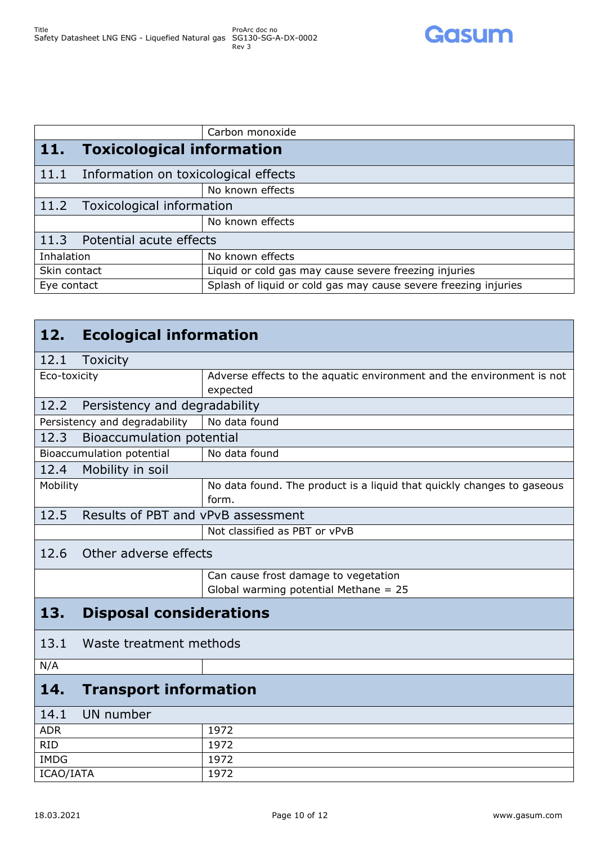

<span id="page-9-2"></span><span id="page-9-1"></span><span id="page-9-0"></span>

|              |                                      | Carbon monoxide                                                 |
|--------------|--------------------------------------|-----------------------------------------------------------------|
| <b>11.</b>   | <b>Toxicological information</b>     |                                                                 |
| 11.1         | Information on toxicological effects |                                                                 |
|              |                                      | No known effects                                                |
|              | 11.2 Toxicological information       |                                                                 |
|              |                                      | No known effects                                                |
|              | 11.3 Potential acute effects         |                                                                 |
| Inhalation   |                                      | No known effects                                                |
| Skin contact |                                      | Liquid or cold gas may cause severe freezing injuries           |
| Eye contact  |                                      | Splash of liquid or cold gas may cause severe freezing injuries |

### <span id="page-9-10"></span><span id="page-9-9"></span><span id="page-9-8"></span><span id="page-9-7"></span><span id="page-9-6"></span><span id="page-9-5"></span><span id="page-9-4"></span><span id="page-9-3"></span>**12. Ecological information** 12.1 Toxicity Eco-toxicity Adverse effects to the aquatic environment and the environment is not expected 12.2 Persistency and degradability Persistency and degradability  $\parallel$  No data found 12.3 Bioaccumulation potential Bioaccumulation potential | No data found 12.4 Mobility in soil Mobility Mosses Mobility No data found. The product is a liquid that quickly changes to gaseous form. 12.5 Results of PBT and vPvB assessment Not classified as PBT or vPvB 12.6 Other adverse effects Can cause frost damage to vegetation Global warming potential Methane = 25 **13. Disposal considerations** 13.1 Waste treatment methods N/A **14. Transport information** 14.1 UN number ADR 1972 RID 1972 IMDG 1972

<span id="page-9-14"></span><span id="page-9-13"></span><span id="page-9-12"></span><span id="page-9-11"></span>ICAO/IATA 1972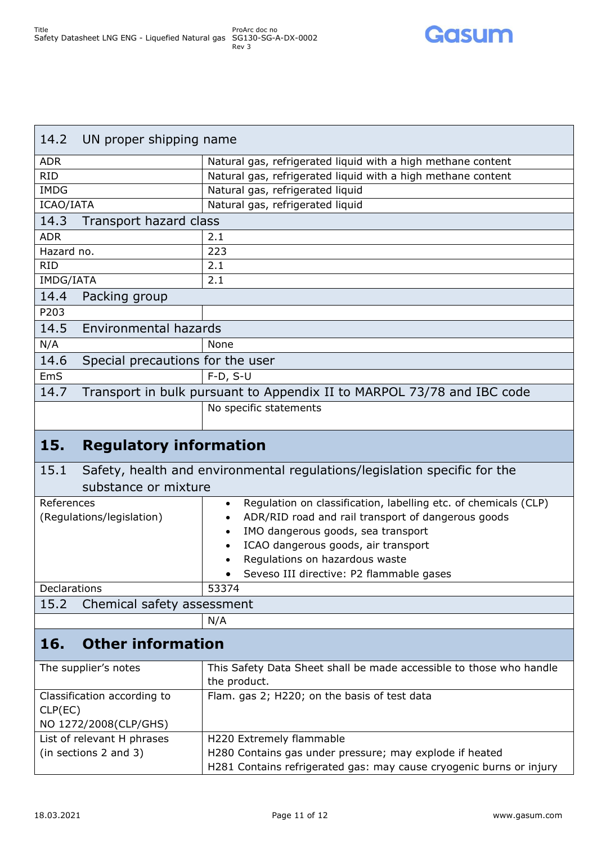

<span id="page-10-1"></span><span id="page-10-0"></span>

| UN proper shipping name<br>14.2             |                                                                        |  |
|---------------------------------------------|------------------------------------------------------------------------|--|
| <b>ADR</b>                                  | Natural gas, refrigerated liquid with a high methane content           |  |
| <b>RID</b>                                  | Natural gas, refrigerated liquid with a high methane content           |  |
| <b>IMDG</b>                                 | Natural gas, refrigerated liquid                                       |  |
| ICAO/IATA                                   | Natural gas, refrigerated liquid                                       |  |
| 14.3                                        | Transport hazard class                                                 |  |
| <b>ADR</b>                                  | 2.1                                                                    |  |
| Hazard no.                                  | 223                                                                    |  |
| <b>RID</b>                                  | 2.1                                                                    |  |
| IMDG/IATA                                   | 2.1                                                                    |  |
| 14.4<br>Packing group                       |                                                                        |  |
| P203                                        |                                                                        |  |
| 14.5                                        | Environmental hazards                                                  |  |
| N/A                                         | None                                                                   |  |
| 14.6                                        | Special precautions for the user                                       |  |
| <b>EmS</b>                                  | $F-D, S-U$                                                             |  |
| 14.7                                        | Transport in bulk pursuant to Appendix II to MARPOL 73/78 and IBC code |  |
|                                             | No specific statements                                                 |  |
| the company's company's company's company's |                                                                        |  |

### <span id="page-10-6"></span><span id="page-10-5"></span><span id="page-10-4"></span><span id="page-10-3"></span><span id="page-10-2"></span>**15. Regulatory information**

<span id="page-10-7"></span>

| Safety, health and environmental regulations/legislation specific for the<br>15.1 |                                                                              |  |
|-----------------------------------------------------------------------------------|------------------------------------------------------------------------------|--|
| substance or mixture                                                              |                                                                              |  |
| References                                                                        | Regulation on classification, labelling etc. of chemicals (CLP)<br>$\bullet$ |  |
| (Regulations/legislation)                                                         | ADR/RID road and rail transport of dangerous goods<br>$\bullet$              |  |
|                                                                                   | IMO dangerous goods, sea transport<br>$\bullet$                              |  |
|                                                                                   | ICAO dangerous goods, air transport<br>$\bullet$                             |  |
|                                                                                   | Regulations on hazardous waste                                               |  |
|                                                                                   | Seveso III directive: P2 flammable gases<br>$\bullet$                        |  |
| <b>Declarations</b>                                                               | 53374                                                                        |  |
| 15.2 Chemical safety assessment                                                   |                                                                              |  |
|                                                                                   | N/A                                                                          |  |

# <span id="page-10-9"></span><span id="page-10-8"></span>**16. Other information**

| The supplier's notes        | This Safety Data Sheet shall be made accessible to those who handle |
|-----------------------------|---------------------------------------------------------------------|
|                             | the product.                                                        |
| Classification according to | Flam. gas 2; H220; on the basis of test data                        |
| CLP(EC)                     |                                                                     |
| NO 1272/2008(CLP/GHS)       |                                                                     |
| List of relevant H phrases  | H220 Extremely flammable                                            |
| (in sections 2 and 3)       | H280 Contains gas under pressure; may explode if heated             |
|                             | H281 Contains refrigerated gas: may cause cryogenic burns or injury |